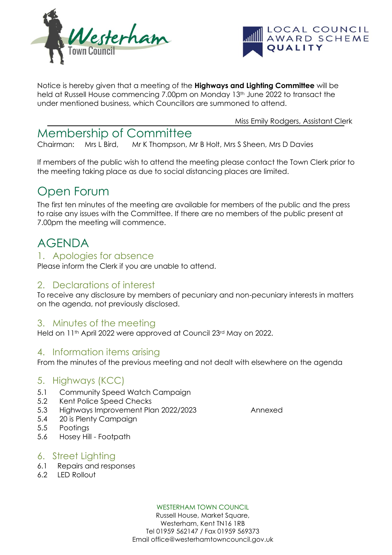



Notice is hereby given that a meeting of the **Highways and Lighting Committee** will be held at Russell House commencing 7.00pm on Monday 13<sup>th</sup> June 2022 to transact the under mentioned business, which Councillors are summoned to attend.

Miss Emily Rodgers, Assistant Clerk

# Membership of Committee

Chairman: Mrs L Bird, Mr K Thompson, Mr B Holt, Mrs S Sheen, Mrs D Davies

If members of the public wish to attend the meeting please contact the Town Clerk prior to the meeting taking place as due to social distancing places are limited.

# Open Forum

The first ten minutes of the meeting are available for members of the public and the press to raise any issues with the Committee. If there are no members of the public present at 7.00pm the meeting will commence.

# AGENDA

## 1. Apologies for absence

Please inform the Clerk if you are unable to attend.

## 2. Declarations of interest

To receive any disclosure by members of pecuniary and non-pecuniary interests in matters on the agenda, not previously disclosed.

# 3. Minutes of the meeting

Held on 11<sup>th</sup> April 2022 were approved at Council 23<sup>rd</sup> May on 2022.

# 4. Information items arising

From the minutes of the previous meeting and not dealt with elsewhere on the agenda

# 5. Highways (KCC)

- 5.1 Community Speed Watch Campaign
- 5.2 Kent Police Speed Checks
- 5.3 Highways Improvement Plan 2022/2023 Annexed
- 5.4 20 is Plenty Campaign
- 5.5 Pootings
- 5.6 Hosey Hill Footpath

## 6. Street Lighting

- 6.1 Repairs and responses
- 6.2 LED Rollout

#### WESTERHAM TOWN COUNCIL

Russell House, Market Square, Westerham, Kent TN16 1RB Tel 01959 562147 / Fax 01959 569373 Email office@westerhamtowncouncil.gov.uk